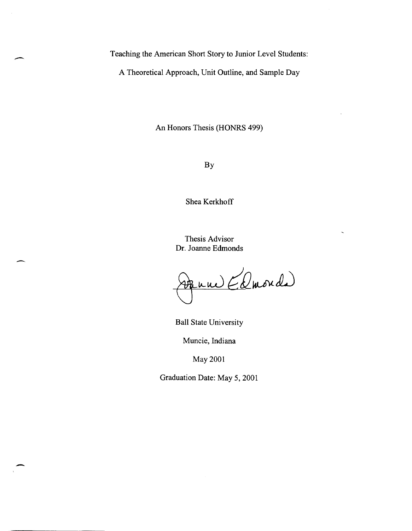Teaching the American Short Story to Junior Level Students:

-

-

A Theoretical Approach, Unit Outline, and Sample Day

An Honors Thesis (HONRS 499)

By

Shea Kerkhoff

Thesis Advisor Dr. Joanne Edmonds

Parme (Duonde)

Ball State University

Muncie, Indiana

May 2001

Graduation Date: May 5, 2001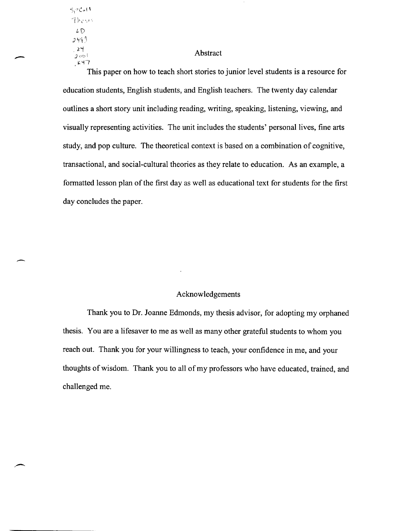$5$  $2$ Col $\overline{1}$  $The$  $LD$ *J* '1~ q  $24$  $3001$  $k+7$ 

-

-

### Abstract

This paper on how to teach short stories to junior level students is a resource for education students, English students, and English teachers. The twenty day calendar outlines a short story unit including reading, writing, speaking, listening, viewing, and visually representing activities. The unit includes the students' personal lives, fine arts study, and pop culture. The theoretical context is based on a combination of cognitive, transactional, and social-cultural theories as they relate to education. As an example, a formatted lesson plan of the first day as well as educational text for students for the first day concludes the paper.

### Acknowledgements

Thank you to Dr. Joanne Edmonds, my thesis advisor, for adopting my orphaned thesis. You are a lifesaver to me as well as many other grateful students to whom you reach out. Thank you for your willingness to teach, your confidence in me, and your thoughts of wisdom. Thank you to all of my professors who have educated, trained, and challenged me.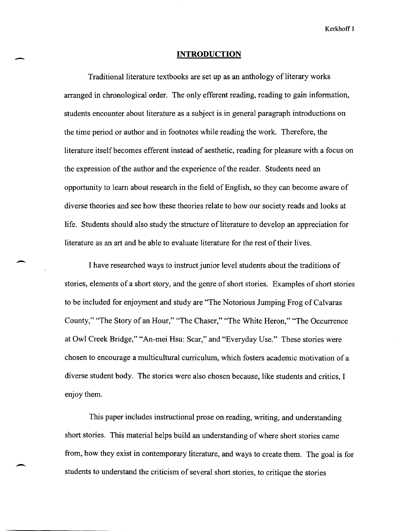#### **INTRODUCTION**

-

 $\overline{\phantom{a}}$ 

-

Traditional literature textbooks are set up as an anthology of literary works arranged in chronological order. The only efferent reading, reading to gain information, students encounter about literature as a subject is in general paragraph introductions on the time period or author and in footnotes while reading the work. Therefore, the literature itself becomes efferent instead of aesthetic, reading for pleasure with a focus on the expression of the author and the experience of the reader. Students need an opportunity to learn about research in the field of English, so they can become aware of diverse theories and see how these theories relate to how our society reads and looks at life. Students should also study the structure of literature to develop an appreciation for literature as an art and be able to evaluate literature for the rest of their lives.

I have researched ways to instruct junior level students about the traditions of stories, elements of a short story, and the genre of short stories. Examples of short stories to be included for enjoyment and study are "The Notorious Jumping Frog of Calvaras County," "The Story of an Hour," "The Chaser," "The White Heron," "The Occurrence at Owl Creek Bridge," "An-mei Hsu: Scar," and "Everyday Use." These stories were chosen to encourage a multicultural curriculum, which fosters academic motivation of a diverse student body. The stories were also chosen because, like students and critics, I enjoy them.

This paper includes instructional prose on reading, writing, and understanding short stories. This material helps build an understanding of where short stories came from, how they exist in contemporary literature, and ways to create them. The goal is for students to understand the criticism of several short stories, to critique the stories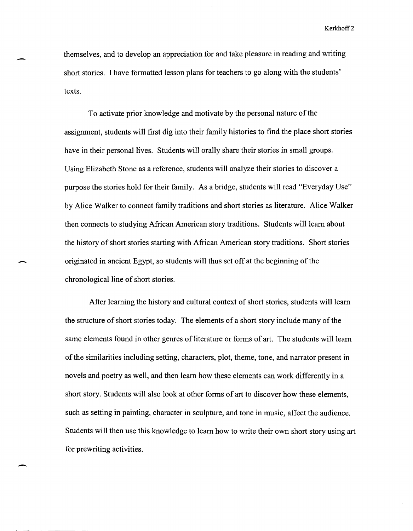themselves, and to develop an appreciation for and take pleasure in reading and writing short stories. I have formatted lesson plans for teachers to go along with the students' texts.

-

 $\overline{\phantom{0}}$ 

To activate prior knowledge and motivate by the personal nature of the assignment, students will first dig into their family histories to find the place short stories have in their personal lives. Students will orally share their stories in small groups. Using Elizabeth Stone as a reference, students will analyze their stories to discover a purpose the stories hold for their family. As a bridge, students will read "Everyday Use" by Alice Walker to connect family traditions and short stories as literature. Alice Walker then connects to studying African American story traditions. Students will learn about the history of short stories starting with African American story traditions. Short stories originated in ancient Egypt, so students will thus set off at the beginning of the chronological line of short stories.

After learning the history and cultural context of short stories, students will learn the structure of short stories today. The elements of a short story include many of the same elements found in other genres of literature or forms of art. The students will learn of the similarities including setting, characters, plot, theme, tone, and narrator present in novels and poetry as well, and then learn how these elements can work differently in a short story. Students will also look at other forms of art to discover how these elements, such as setting in painting, character in sculpture, and tone in music, affect the audience. Students will then use this knowledge to learn how to write their own short story using art for prewriting activities.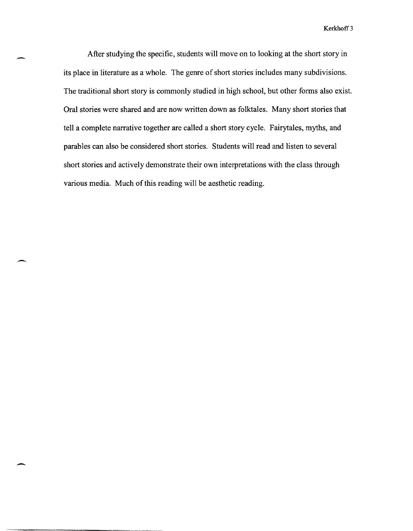After studying the specific, students will move on to looking at the short story in its place in literature as a whole. The genre of short stories includes many subdivisions. The traditional short story is commonly studied in high school, but other forms also exist. Oral stories were shared and are now written down as folktales. Many short stories that tell a complete narrative together are called a short story cycle. Fairytales, myths, and parables can also be considered short stories. Students will read and listen to several short stories and actively demonstrate their own interpretations with the class through various media. Much of this reading will be aesthetic reading.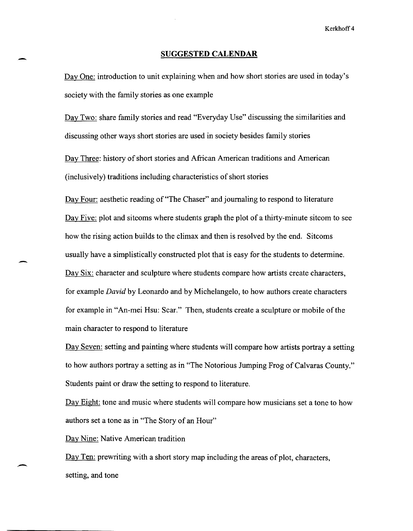### **SUGGESTED CALENDAR**

Day One: introduction to unit explaining when and how short stories are used in today's society with the family stories as one example

Day Two: share family stories and read "Everyday Use" discussing the similarities and discussing other ways short stories are used in society besides family stories

Day Three: history of short stories and African American traditions and American (inclusively) traditions including characteristics of short stories

Day Four: aesthetic reading of "The Chaser" and journaling to respond to literature Day Five: plot and sitcoms where students graph the plot of a thirty-minute sitcom to see how the rising action builds to the climax and then is resolved by the end. Sitcoms usually have a simplistically constructed plot that is easy for the students to determine. Day Six: character and sculpture where students compare how artists create characters, for example *David* by Leonardo and by Michelangelo, to how authors create characters for example in "An-mei Hsu: Scar." Then, students create a sculpture or mobile of the main character to respond to literature

Day Seven: setting and painting where students will compare how artists portray a setting to how authors portray a setting as in "The Notorious Jumping Frog of Calvaras County." Students paint or draw the setting to respond to literature.

Day Eight: tone and music where students will compare how musicians set a tone to how authors set a tone as in "The Story of an Hour"

Day Nine: Native American tradition

-

-

 $\overline{\phantom{a}}$ 

Day Ten: prewriting with a short story map including the areas of plot, characters, setting, and tone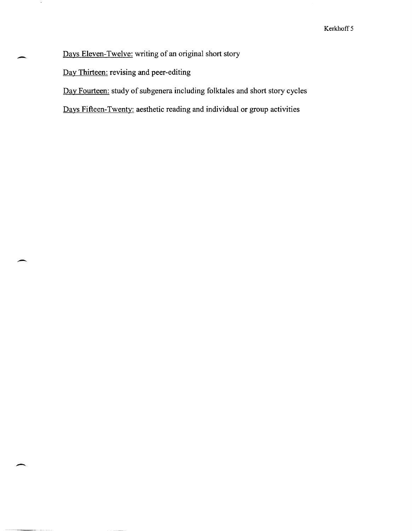Days Eleven-Twelve: writing of an original short story

Day Thirteen: revising and peer-editing

.-

 $\cdot$ 

--

Day Fourteen: study of subgenera including folktales and short story cycles

Days Fifteen-Twenty: aesthetic reading and individual or group activities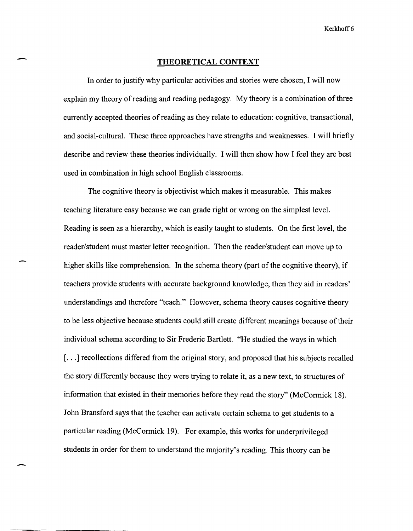#### **THEORETICAL CONTEXT**

-

-

**In** order to justify why particular activities and stories were chosen, I will now explain my theory of reading and reading pedagogy. My theory is a combination of three currently accepted theories of reading as they relate to education: cognitive, transactional, and social-cultural. These three approaches have strengths and weaknesses. I will briefly describe and review these theories individually. I will then show how I feel they are best used in combination in high school English classrooms.

The cognitive theory is objectivist which makes it measurable. This makes teaching literature easy because we can grade right or wrong on the simplest level. Reading is seen as a hierarchy, which is easily taught to students. On the first level, the reader/student must master letter recognition. Then the reader/student can move up to higher skills like comprehension. **In** the schema theory (part of the cognitive theory), if teachers provide students with accurate background knowledge, then they aid in readers' understandings and therefore "teach." However, schema theory causes cognitive theory to be less objective because students could still create different meanings because of their individual schema according to Sir Frederic Bartlett. "He studied the ways in which [...] recollections differed from the original story, and proposed that his subjects recalled the story differently because they were trying to relate it, as a new text, to structures of information that existed in their memories before they read the story" (McCormick 18). John Bransford says that the teacher can activate certain schema to get students to a particular reading (McCormick 19). For example, this works for underprivileged students in order for them to understand the majority's reading. This theory can be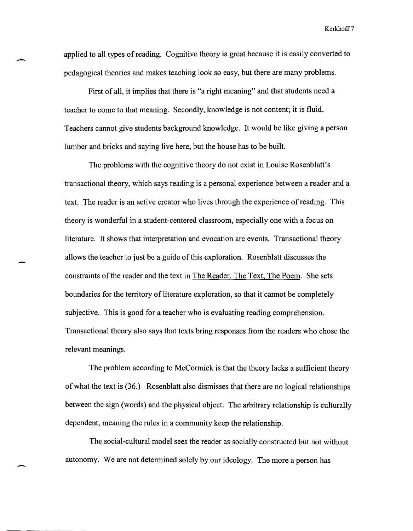applied to all types of reading. Cognitive theory is great because it is easily converted to pedagogical theories and makes teaching look so easy, but there are many problems.

-.

-

-.

First of all, it implies that there is "a right meaning" and that students need a teacher to come to that meaning. Secondly, knowledge is not content; it is fluid. Teachers cannot give students background knowledge. It would be like giving a person lumber and bricks and saying live here, but the house has to be built.

The problems with the cognitive theory do not exist in Louise Rosenblatt's transactional theory, which says reading is a personal experience between a reader and a text. The reader is an active creator who lives through the experience of reading. This theory is wonderful in a student-centered classroom, especially one with a focus on literature. It shows that interpretation and evocation are events. Transactional theory allows the teacher to just be a guide of this exploration. Rosenblatt discusses the constraints of the reader and the text in The Reader, The Text, The Poem. She sets boundaries for the territory of literature exploration, so that it cannot be completely subjective. This is good for a teacher who is evaluating reading comprehension. Transactional theory also says that texts bring responses from the readers who chose the relevant meanings.

The problem according to McCormick is that the theory lacks a sufficient theory of what the text is (36.) Rosenblatt also dismisses that there are no logical relationships between the sign (words) and the physical object. The arbitrary relationship is culturally dependent, meaning the rules in a community keep the relationship.

The social-cultural model sees the reader as socially constructed but not without autonomy. We are not determined solely by our ideology. The more a person has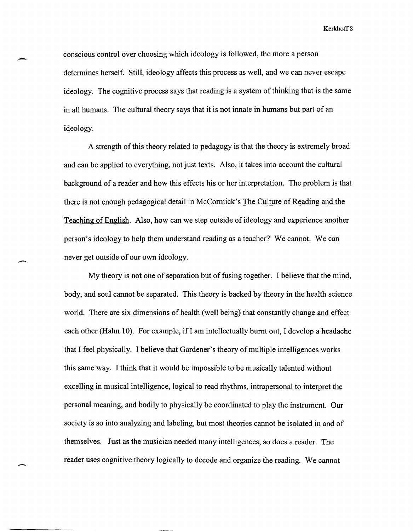conscious control over choosing which ideology is followed, the more a person determines herself. Still, ideology affects this process as well, and we can never escape ideology. The cognitive process says that reading is a system of thinking that is the same in all humans. The cultural theory says that it is not innate in humans but part of an ideology.

A strength of this theory related to pedagogy is that the theory is extremely broad and can be applied to everything, not just texts. Also, it takes into account the cultural background of a reader and how this effects his or her interpretation. The problem is that there is not enough pedagogical detail in McConnick's The Culture of Reading and the Teaching of English. Also, how can we step outside of ideology and experience another person's ideology to help them understand reading as a teacher? We cannot. We can never get outside of our own ideology.

-

My theory is not one of separation but of fusing together. I believe that the mind, body, and soul cannot be separated. This theory is backed by theory in the health science world. There are six dimensions of health (well being) that constantly change and effect each other (Hahn 10). For example, if I am intellectually burnt out, I develop a headache that I feel physically. I believe that Gardener's theory of multiple intelligences works this same way. I think that it would be impossible to be musically talented without excelling in musical intelligence, logical to read rhythms, intrapersonal to interpret the personal meaning, and bodily to physically be coordinated to play the instrument. Our society is so into analyzing and labeling, but most theories cannot be isolated in and of themselves. Just as the musician needed many intelligences, so does a reader. The reader uses cognitive theory logically to decode and organize the reading. We cannot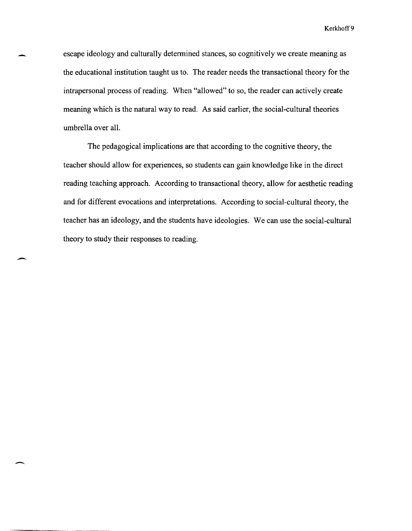escape ideology and culturally detennined stances, so cognitively we create meaning as the educational institution taught us to. The reader needs the transactional theory for the intrapersonal process of reading. When "allowed" to so, the reader can actively create meaning which is the natural way to read. As said earlier, the social-cultural theories umbrella over all.

The pedagogical implications are that according to the cognitive theory, the teacher should allow for experiences, so students can gain knowledge like in the direct reading teaching approach. According to transactional theory, allow for aesthetic reading and for different evocations and interpretations. According to social-cultural theory, the teacher has an ideology, and the students have ideologies. We can use the social-cultural theory to study their responses to reading.

-

 $\overline{\phantom{a}}$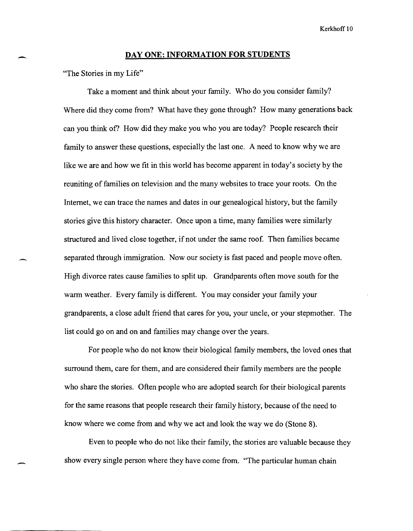### **DAY ONE: INFORMATION FOR STUDENTS**

"The Stories in my Life"

-

Take a moment and think about your family. Who do you consider family? Where did they come from? What have they gone through? How many generations back can you think of? How did they make you who you are today? People research their family to answer these questions, especially the last one. A need to know why we are like we are and how we fit in this world has become apparent in today's society by the reuniting of families on television and the many web sites to trace your roots. On the Internet, we can trace the names and dates in our genealogical history, but the family stories give this history character. Once upon a time, many families were similarly structured and lived close together, if not under the same roof. Then families became separated through immigration. Now our society is fast paced and people move often. High divorce rates cause families to split up. Grandparents often move south for the warm weather. Every family is different. You may consider your family your grandparents, a close adult friend that cares for you, your uncle, or your stepmother. The list could go on and on and families may change over the years.

For people who do not know their biological family members, the loved ones that surround them, care for them, and are considered their family members are the people who share the stories. Often people who are adopted search for their biological parents for the same reasons that people research their family history, because of the need to know where we come from and why we act and look the way we do (Stone 8).

Even to people who do not like their family, the stories are valuable because they show every single person where they have come from. "The particular human chain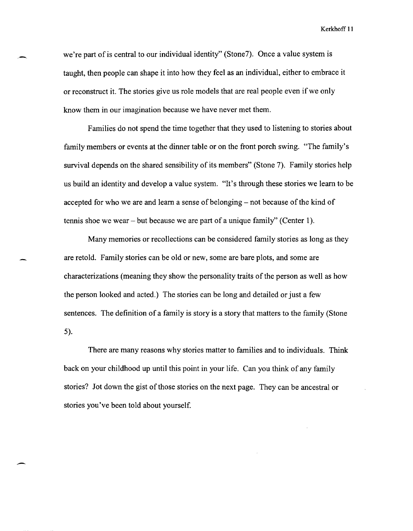we're part of is central to our individual identity" (Stone7). Once a value system is taught, then people can shape it into how they feel as an individual, either to embrace it or reconstruct it. The stories give us role models that are real people even if we only know them in our imagination because we have never met them.

Families do not spend the time together that they used to listening to stories about family members or events at the dinner table or on the front porch swing. "The family's survival depends on the shared sensibility of its members" (Stone 7). Family stories help us build an identity and develop a value system. "It's through these stories we learn to be accepted for who we are and learn a sense of belonging – not because of the kind of tennis shoe we wear - but because we are part of a unique family" (Center 1).

Many memories or recollections can be considered family stories as long as they are retold. Family stories can be old or new, some are bare plots, and some are characterizations (meaning they show the personality traits of the person as well as how the person looked and acted.) The stories can be long and detailed or just a few sentences. The definition of a family is story is a story that matters to the family (Stone 5).

There are many reasons why stories matter to families and to individuals. Think back on your childhood up until this point in your life. Can you think of any family stories? Jot down the gist of those stories on the next page. They can be ancestral or stories you've been told about yourself.

--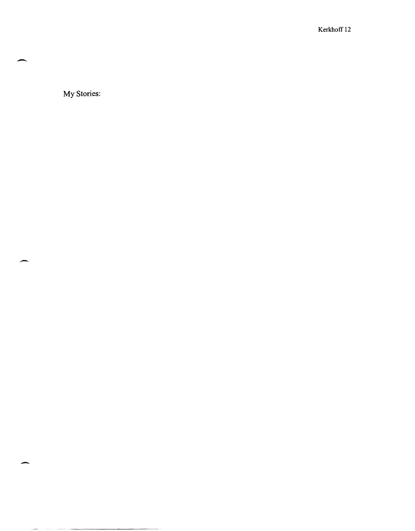My Stories:

-

-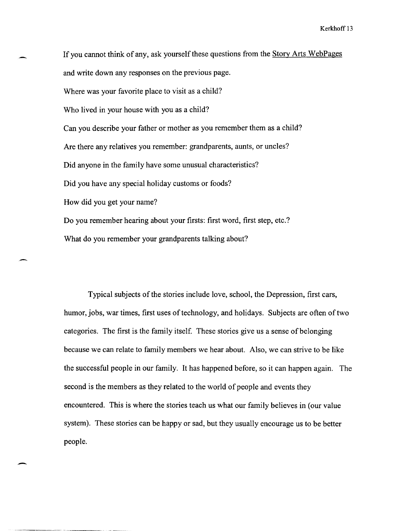If you cannot think of any, ask yourself these questions from the Story Arts WebPages and write down any responses on the previous page. Where was your favorite place to visit as a child? Who lived in your house with you as a child? Can you describe your father or mother as you remember them as a child? Are there any relatives you remember: grandparents, aunts, or uncles? Did anyone in the family have some unusual characteristics? Did you have any special holiday customs or foods? How did you get your name? Do you remember hearing about your firsts: first word, first step, etc.? What do you remember your grandparents talking about?

Typical subjects of the stories include love, school, the Depression, first cars, humor, jobs, war times, first uses of technology, and holidays. Subjects are often of two categories. The first is the family itself. These stories give us a sense of belonging because we can relate to family members we hear about. Also, we can strive to be like the successful people in our family. It has happened before, so it can happen again. The second is the members as they related to the world of people and events they encountered. This is where the stories teach us what our family believes in (our value system). These stories can be happy or sad, but they usually encourage us to be better people.

 $\overline{\phantom{0}}$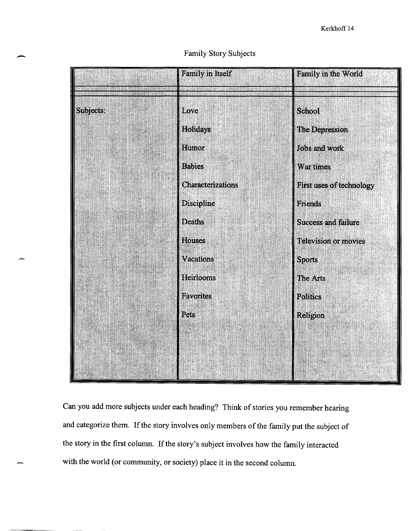# Family Story Subjects

|           | Family in Itself  | <b>Family in the World</b> |
|-----------|-------------------|----------------------------|
|           |                   |                            |
| Subjects: | Love              | <b>School</b>              |
|           | Holidays          | The Depression             |
|           | Humor             | Jobs and work              |
|           | <b>Babies</b>     | War times                  |
|           | Characterizations | First uses of technology   |
|           | Discipline        | <b>Friends</b>             |
|           | <b>Deaths</b>     | <b>Success and failure</b> |
|           | <b>Houses</b>     | Television or movies       |
|           | <b>Vacations</b>  | <b>Sports</b>              |
|           | <b>Heirlooms</b>  | The Arts                   |
|           | <b>Favorites</b>  | Politics                   |
|           | Pets              | <b>Religion</b>            |
|           |                   |                            |
|           |                   |                            |
|           |                   |                            |

Can you add more subjects under each heading? Think of stories you remember hearing and categorize them. If the story involves only members of the family put the subject of the story in the first column. If the story's subject involves how the family interacted with the world (or community, or society) place it in the second column.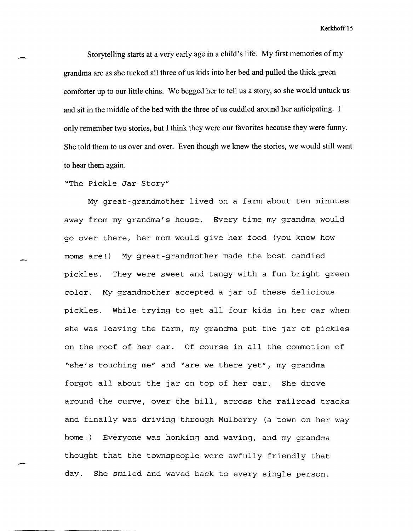Storytelling starts at a very early age in a child's life. My first memories of my grandma are as she tucked all three of us kids into her bed and pulled the thick green comforter up to our little chins. We begged her to tell us a story, so she would untuck us and sit in the middle of the bed with the three of us cuddled around her anticipating. I only remember two stories, but I think they were our favorites because they were funny. She told them to us over and over. Even though we knew the stories, we would still want to hear them again.

"The Pickle Jar Story"

-

My great-grandmother lived on a farm about ten minutes away from my grandma's house. Every time my grandma would go over there, her mom would give her food (you know how moms are!) My great-grandmother made the best candied pickles. They were sweet and tangy with a fun bright green color. My grandmother accepted a jar of these delicious pickles. While trying to get all four kids in her car when she was leaving the farm, my grandma put the jar of pickles on the roof of her car. Of course in all the commotion of "she's touching me" and "are we there yet", my grandma forgot all about the jar on top of her car. She drove around the curve, over the hill, across the railroad tracks and finally was driving through Mulberry (a town on her way home.) Everyone was honking and waving, and my grandma thought that the townspeople were awfully friendly that day. She smiled and waved back to every single person.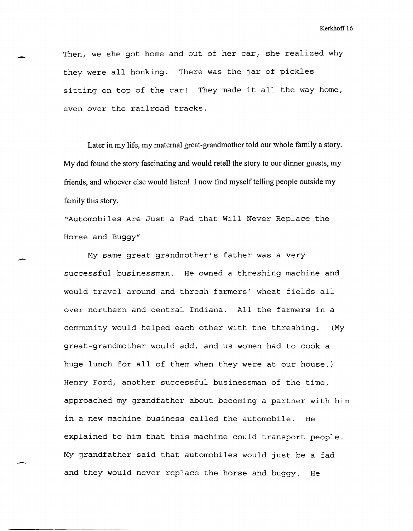Then, we she got home and out of her car, she realized why they were all honking. There was the jar of pickles sitting on top of the car! They made it all the way home, even over the railroad tracks.

Later in my life, my maternal great-grandmother told our whole family a story. My dad found the story fascinating and would retell the story to our dinner guests, my friends, and whoever else would listen! I now find myself telling people outside my family this story.

"Automobiles Are Just a Fad that Will Never Replace the Horse and Buggy"

,-

-

My same great grandmother's father was a very successful businessman. He owned a threshing machine and would travel around and thresh farmers' wheat fields all over northern and central Indiana. All the farmers in a community would helped each other with the threshing. (My great-grandmother would add, and us women had to cook a huge lunch for all of them when they were at our house.) Henry Ford, another successful businessman of the time, approached my grandfather about becoming a partner with him in a new machine business called the automobile. He explained to him that this machine could transport people. My grandfather said that automobiles would just be a fad and they would never replace the horse and buggy. He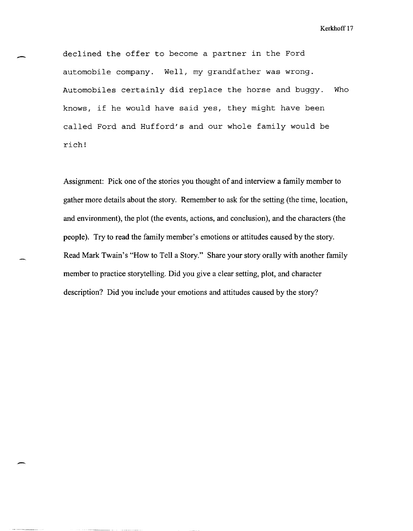declined the offer to become a partner in the Ford automobile company. Well, my grandfather was wrong. Automobiles certainly did replace the horse and buggy. Who knows, if he would have said yes, they might have been called Ford and Hufford's and our whole family would be rich!

-

-.

Assignment: Pick one of the stories you thought of and interview a family member to gather more details about the story. Remember to ask for the setting (the time, location, and environment), the plot (the events, actions, and conclusion), and the characters (the people). Try to read the family member's emotions or attitudes caused by the story. Read Mark Twain's "How to Tell a Story." Share your story orally with another family member to practice storytelling. Did you give a clear setting, plot, and character description? Did you include your emotions and attitudes caused by the story?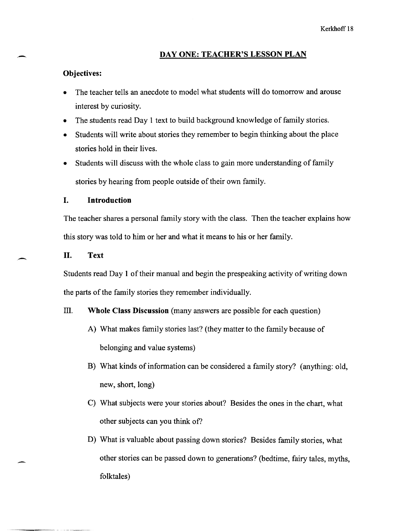### **DAY ONE: TEACHER'S LESSON PLAN**

### **Objectives:**

-

-

- The teacher tells an anecdote to model what students will do tomorrow and arouse interest by curiosity.
- The students read Day 1 text to build background knowledge of family stories.
- Students will write about stories they remember to begin thinking about the place stories hold in their lives.
- Students will discuss with the whole class to gain more understanding of family stories by hearing from people outside of their own family.

# **I. Introduction**

The teacher shares a personal family story with the class. Then the teacher explains how this story was told to him or her and what it means to his or her family.

**II. Text** 

Students read Day 1 of their manual and begin the prespeaking activity of writing down the parts of the family stories they remember individually.

### ill. **Whole Class Discussion** (many answers are possible for each question)

- A) What makes family stories last? (they matter to the family because of belonging and value systems)
- B) What kinds of information can be considered a family story? (anything: old, new, short, long)
- C) What subjects were your stories about? Besides the ones in the chart, what other subjects can you think of?
- D) What is valuable about passing down stories? Besides family stories, what other stories can be passed down to generations? (bedtime, fairy tales, myths, folktales)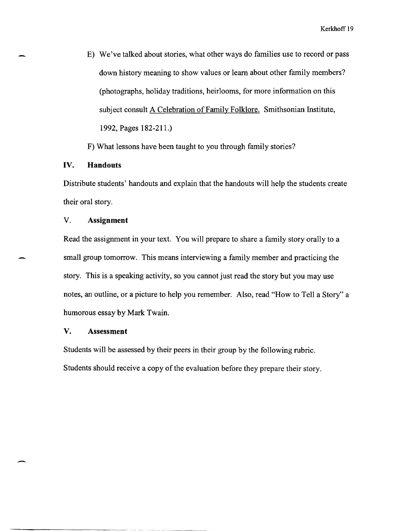E) We've talked about stories, what other ways do families use to record or pass down history meaning to show values or learn about other family members? (photographs, holiday traditions, heirlooms, for more information on this subject consult A Celebration of Family Folklore. Smithsonian Institute, 1992, Pages 182-211.)

F) What lessons have been taught to you through family stories?

# **IV. Handouts**

-

-

Distribute students' handouts and explain that the handouts will help the students create their oral story.

### V. **Assignment**

Read the assignment in your text. You will prepare to share a family story orally to a small group tomorrow. This means interviewing a family member and practicing the story. This is a speaking activity, so you cannot just read the story but you may use notes, an outline, or a picture to help you remember. Also, read "How to Tell a Story" a humorous essay by Mark Twain.

## **V. Assessment**

Students will be assessed by their peers in their group by the following rubric. Students should receive a copy of the evaluation before they prepare their story.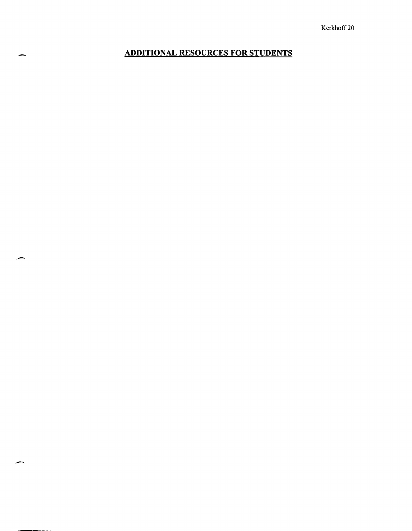# - **ADDITIONAL RESOURCES FOR STUDENTS**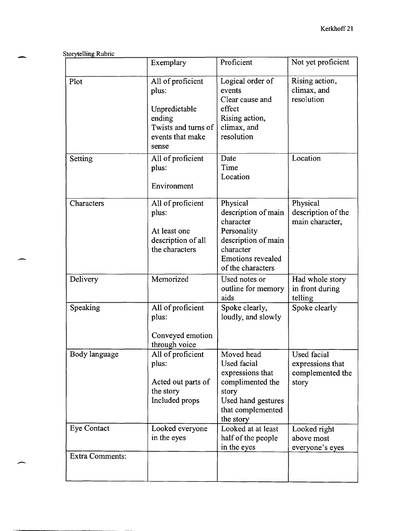| <b>Storytelling Rubric</b> |                                                                                                           |                                                                                                                                                  |                                                              |
|----------------------------|-----------------------------------------------------------------------------------------------------------|--------------------------------------------------------------------------------------------------------------------------------------------------|--------------------------------------------------------------|
|                            | Exemplary                                                                                                 | Proficient                                                                                                                                       | Not yet proficient                                           |
| Plot                       | All of proficient<br>plus:<br>Unpredictable<br>ending<br>Twists and turns of<br>events that make<br>sense | Logical order of<br>events<br>Clear cause and<br>effect<br>Rising action,<br>climax, and<br>resolution                                           | Rising action,<br>climax, and<br>resolution                  |
| Setting                    | All of proficient<br>plus:<br>Environment                                                                 | Date<br>Time<br>Location                                                                                                                         | Location                                                     |
| Characters                 | All of proficient<br>plus:<br>At least one<br>description of all<br>the characters                        | Physical<br>description of main<br>character<br>Personality<br>description of main<br>character<br><b>Emotions revealed</b><br>of the characters | Physical<br>description of the<br>main character,            |
| Delivery                   | Memorized                                                                                                 | Used notes or<br>outline for memory<br>aids                                                                                                      | Had whole story<br>in front during<br>telling                |
| Speaking                   | All of proficient<br>plus:<br>Conveyed emotion<br>through voice                                           | Spoke clearly,<br>loudly, and slowly                                                                                                             | Spoke clearly                                                |
| Body language              | All of proficient<br>plus:<br>Acted out parts of<br>the story<br>Included props                           | Moved head<br><b>Used facial</b><br>expressions that<br>complimented the<br>story<br>Used hand gestures<br>that complemented<br>the story        | Used facial<br>expressions that<br>complemented the<br>story |
| <b>Eye Contact</b>         | Looked everyone<br>in the eyes                                                                            | Looked at at least<br>half of the people<br>in the eyes                                                                                          | Looked right<br>above most<br>everyone's eyes                |
| <b>Extra Comments:</b>     |                                                                                                           |                                                                                                                                                  |                                                              |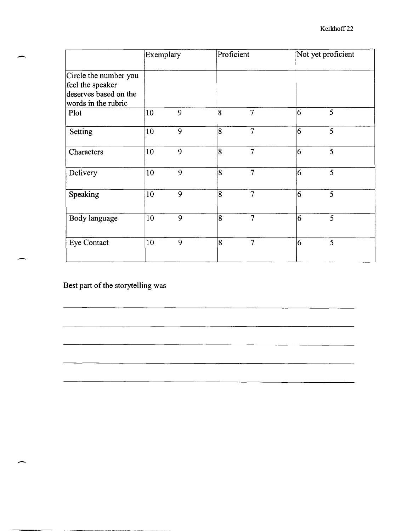|                                                                                           | Exemplary |   |                | Proficient     |                | Not yet proficient |  |
|-------------------------------------------------------------------------------------------|-----------|---|----------------|----------------|----------------|--------------------|--|
| Circle the number you<br>feel the speaker<br>deserves based on the<br>words in the rubric |           |   |                |                |                |                    |  |
| Plot                                                                                      | 10        | 9 | 8              | 7              | 16             | $\overline{5}$     |  |
| Setting                                                                                   | 10        | 9 | 8              | 7              | 6              | $\overline{5}$     |  |
| Characters                                                                                | 10        | 9 | 8              | $\overline{7}$ | 6              | $\overline{5}$     |  |
| Delivery                                                                                  | 10        | 9 | $\overline{8}$ | 7              | 6              | 5                  |  |
| Speaking                                                                                  | 10        | 9 | 8              | $\overline{7}$ | 16             | 5                  |  |
| Body language                                                                             | 10        | 9 | 8              | 7              | $\overline{6}$ | 5                  |  |
| Eye Contact                                                                               | 10        | 9 | 8              | 7              | 6              | $\overline{5}$     |  |
|                                                                                           |           |   |                |                |                |                    |  |

<u> 2000 - An Company and Company and Company and Company and Company and Company and Company and Company and Compa</u>

Best part of the storytelling was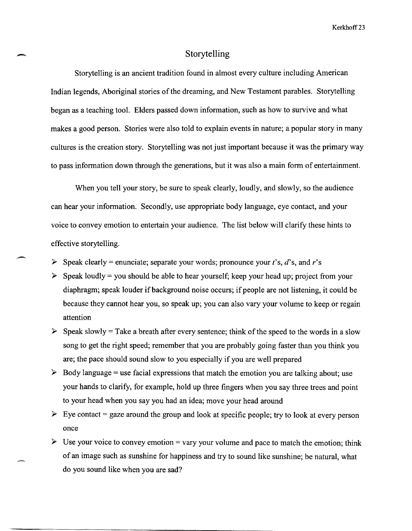# Storytelling

Kerkhoff 23<br>
Storytelling<br>
Storytelling Storytelling is an ancient tradition found in almost every culture including American Indian legends, Aboriginal stories of the dreaming, and New Testament parables. Storytelling began as a teaching tool. Elders passed down information, such as how to survive and what makes a good person. Stories were also told to explain events in nature; a popular story in many cultures is the creation story. Storytelling was not just important because it was the primary way to pass information down through the generations, but it was also a main form of entertainment.

When you tell your story, be sure to speak clearly, loudly, and slowly, so the audience can hear your information. Secondly, use appropriate body language, eye contact, and your voice to convey emotion to entertain your audience. The list below will clarify these hints to effective storytelling.

- <sup>~</sup>Speak clearly = enunciate; separate your words; pronounce your *t's, d's,* and *r's*
- $\triangleright$  Speak loudly = you should be able to hear yourself; keep your head up; project from your diaphragm; speak louder if background noise occurs; if people are not listening, it could be because they cannot hear you, so speak up; you can also vary your volume to keep or regain attention
- $\triangleright$  Speak slowly = Take a breath after every sentence; think of the speed to the words in a slow song to get the right speed; remember that you are probably going faster than you think you are; the pace should sound slow to you especially if you are well prepared
- $\triangleright$  Body language = use facial expressions that match the emotion you are talking about; use your hands to clarify, for example, hold up three fingers when you say three trees and point to your head when you say you had an idea; move your head around
- $\triangleright$  Eye contact = gaze around the group and look at specific people; try to look at every person once
- $\triangleright$  Use your voice to convey emotion = vary your volume and pace to match the emotion; think of an image such as sunshine for happiness and try to sound like sunshine; be natural, what do you sound like when you are sad?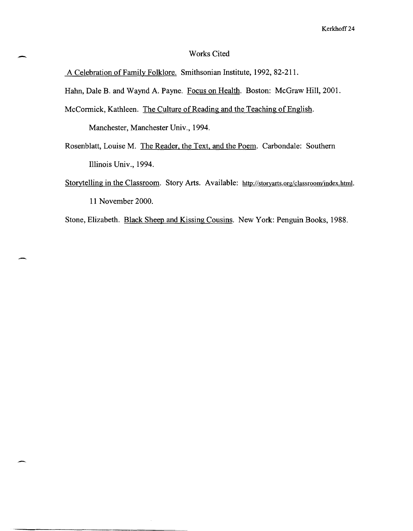## Works Cited

A Celebration of Family Folklore. Smithsonian Institute, 1992, 82-211.

Hahn, Dale B. and Waynd A. Payne. Focus on Health. Boston: McGraw Hill, 2001.

McCormick, Kathleen. The Culture of Reading and the Teaching of English.

Manchester, Manchester Univ., 1994.

,-

- Rosenblatt, Louise M. The Reader, the Text, and the Poem. Carbondale: Southern Illinois Univ., 1994.
- Storytelling in the Classroom. Story Arts. Available: http://storyarts.org/classroom/index.html. 11 November 2000.

Stone, Elizabeth. Black Sheep and Kissing Cousins. New York: Penguin Books, 1988.